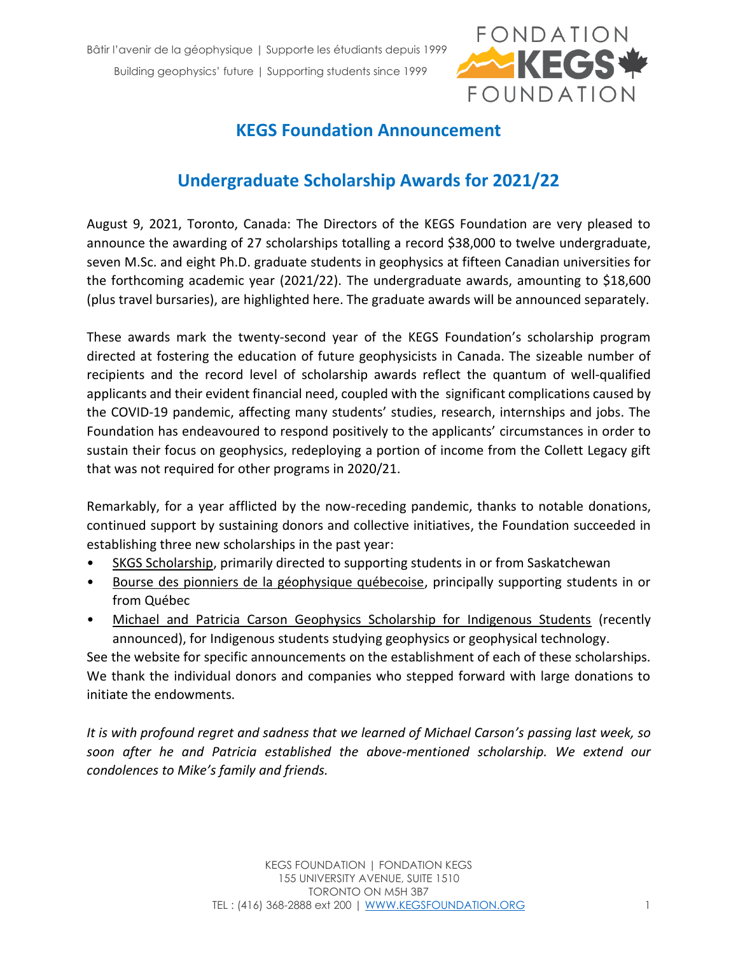

## **KEGS Foundation Announcement**

## **Undergraduate Scholarship Awards for 2021/22**

August 9, 2021, Toronto, Canada: The Directors of the KEGS Foundation are very pleased to announce the awarding of 27 scholarships totalling a record \$38,000 to twelve undergraduate, seven M.Sc. and eight Ph.D. graduate students in geophysics at fifteen Canadian universities for the forthcoming academic year (2021/22). The undergraduate awards, amounting to \$18,600 (plus travel bursaries), are highlighted here. The graduate awards will be announced separately.

These awards mark the twenty-second year of the KEGS Foundation's scholarship program directed at fostering the education of future geophysicists in Canada. The sizeable number of recipients and the record level of scholarship awards reflect the quantum of well-qualified applicants and their evident financial need, coupled with the significant complications caused by the COVID-19 pandemic, affecting many students' studies, research, internships and jobs. The Foundation has endeavoured to respond positively to the applicants' circumstances in order to sustain their focus on geophysics, redeploying a portion of income from the Collett Legacy gift that was not required for other programs in 2020/21.

Remarkably, for a year afflicted by the now-receding pandemic, thanks to notable donations, continued support by sustaining donors and collective initiatives, the Foundation succeeded in establishing three new scholarships in the past year:

- SKGS Scholarship, primarily directed to supporting students in or from Saskatchewan
- Bourse des pionniers de la géophysique québecoise, principally supporting students in or from Québec
- Michael and Patricia Carson Geophysics Scholarship for Indigenous Students (recently announced), for Indigenous students studying geophysics or geophysical technology.

See the website for specific announcements on the establishment of each of these scholarships. We thank the individual donors and companies who stepped forward with large donations to initiate the endowments.

*It is with profound regret and sadness that we learned of Michael Carson's passing last week, so soon after he and Patricia established the above-mentioned scholarship. We extend our condolences to Mike's family and friends.*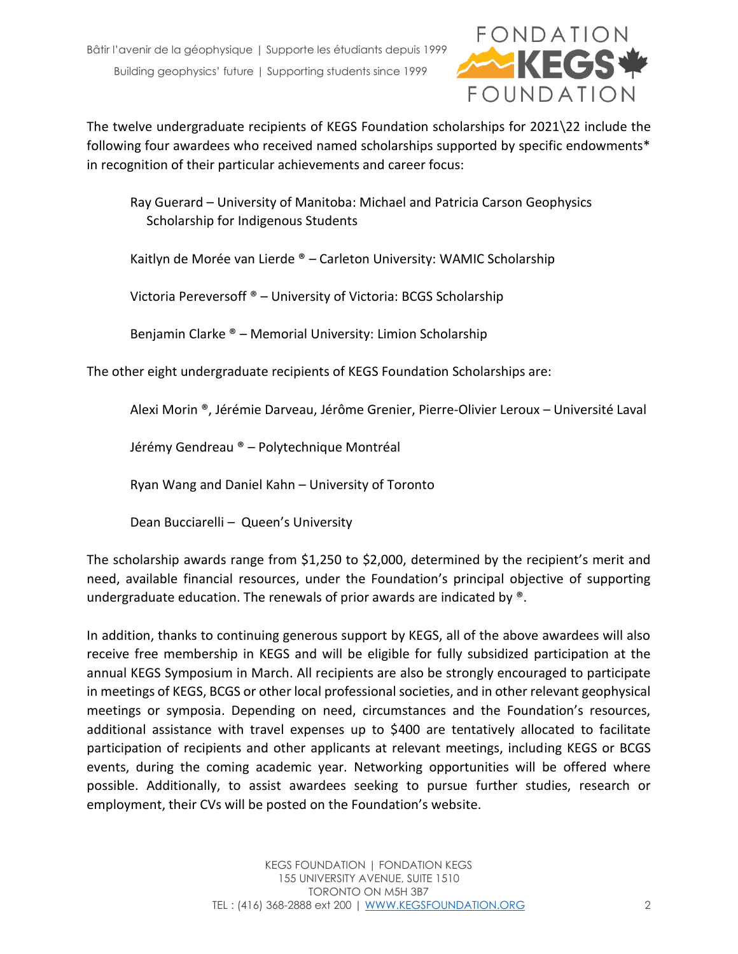

The twelve undergraduate recipients of KEGS Foundation scholarships for 2021\22 include the following four awardees who received named scholarships supported by specific endowments\* in recognition of their particular achievements and career focus:

Ray Guerard – University of Manitoba: Michael and Patricia Carson Geophysics Scholarship for Indigenous Students

Kaitlyn de Morée van Lierde ® – Carleton University: WAMIC Scholarship

Victoria Pereversoff ® – University of Victoria: BCGS Scholarship

Benjamin Clarke ® – Memorial University: Limion Scholarship

The other eight undergraduate recipients of KEGS Foundation Scholarships are:

Alexi Morin ®, Jérémie Darveau, Jérôme Grenier, Pierre-Olivier Leroux – Université Laval

Jérémy Gendreau ® – Polytechnique Montréal

Ryan Wang and Daniel Kahn – University of Toronto

Dean Bucciarelli – Queen's University

The scholarship awards range from \$1,250 to \$2,000, determined by the recipient's merit and need, available financial resources, under the Foundation's principal objective of supporting undergraduate education. The renewals of prior awards are indicated by ®.

In addition, thanks to continuing generous support by KEGS, all of the above awardees will also receive free membership in KEGS and will be eligible for fully subsidized participation at the annual KEGS Symposium in March. All recipients are also be strongly encouraged to participate in meetings of KEGS, BCGS or other local professional societies, and in other relevant geophysical meetings or symposia. Depending on need, circumstances and the Foundation's resources, additional assistance with travel expenses up to \$400 are tentatively allocated to facilitate participation of recipients and other applicants at relevant meetings, including KEGS or BCGS events, during the coming academic year. Networking opportunities will be offered where possible. Additionally, to assist awardees seeking to pursue further studies, research or employment, their CVs will be posted on the Foundation's website.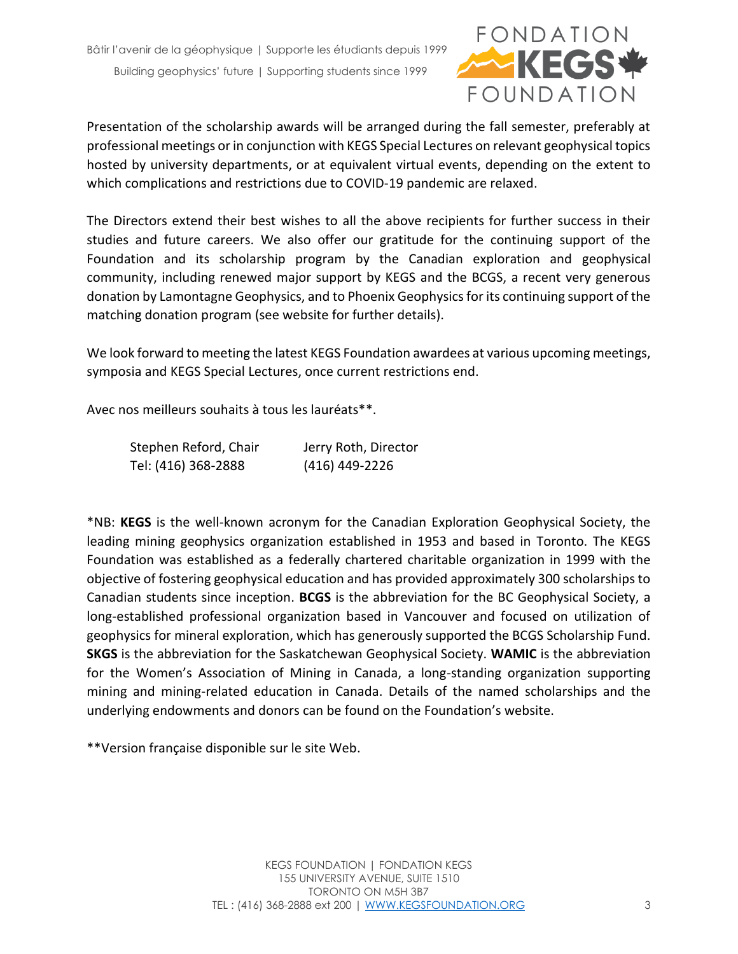

Presentation of the scholarship awards will be arranged during the fall semester, preferably at professional meetings or in conjunction with KEGS Special Lectures on relevant geophysical topics hosted by university departments, or at equivalent virtual events, depending on the extent to which complications and restrictions due to COVID-19 pandemic are relaxed.

The Directors extend their best wishes to all the above recipients for further success in their studies and future careers. We also offer our gratitude for the continuing support of the Foundation and its scholarship program by the Canadian exploration and geophysical community, including renewed major support by KEGS and the BCGS, a recent very generous donation by Lamontagne Geophysics, and to Phoenix Geophysics for its continuing support of the matching donation program (see website for further details).

We look forward to meeting the latest KEGS Foundation awardees at various upcoming meetings, symposia and KEGS Special Lectures, once current restrictions end.

Avec nos meilleurs souhaits à tous les lauréats\*\*.

| Stephen Reford, Chair | Jerry Roth, Director |
|-----------------------|----------------------|
| Tel: (416) 368-2888   | (416) 449-2226       |

\*NB: **KEGS** is the well-known acronym for the Canadian Exploration Geophysical Society, the leading mining geophysics organization established in 1953 and based in Toronto. The KEGS Foundation was established as a federally chartered charitable organization in 1999 with the objective of fostering geophysical education and has provided approximately 300 scholarships to Canadian students since inception. **BCGS** is the abbreviation for the BC Geophysical Society, a long-established professional organization based in Vancouver and focused on utilization of geophysics for mineral exploration, which has generously supported the BCGS Scholarship Fund. **SKGS** is the abbreviation for the Saskatchewan Geophysical Society. **WAMIC** is the abbreviation for the Women's Association of Mining in Canada, a long-standing organization supporting mining and mining-related education in Canada. Details of the named scholarships and the underlying endowments and donors can be found on the Foundation's website.

\*\*Version française disponible sur le site Web.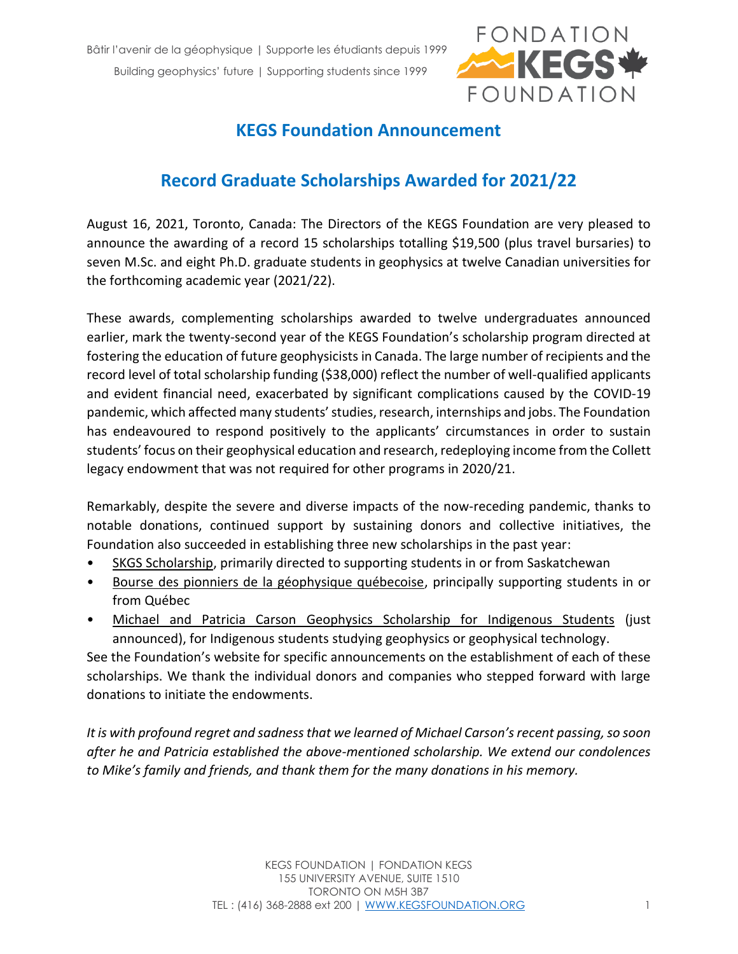

## **KEGS Foundation Announcement**

## **Record Graduate Scholarships Awarded for 2021/22**

August 16, 2021, Toronto, Canada: The Directors of the KEGS Foundation are very pleased to announce the awarding of a record 15 scholarships totalling \$19,500 (plus travel bursaries) to seven M.Sc. and eight Ph.D. graduate students in geophysics at twelve Canadian universities for the forthcoming academic year (2021/22).

These awards, complementing scholarships awarded to twelve undergraduates announced earlier, mark the twenty-second year of the KEGS Foundation's scholarship program directed at fostering the education of future geophysicists in Canada. The large number of recipients and the record level of total scholarship funding (\$38,000) reflect the number of well-qualified applicants and evident financial need, exacerbated by significant complications caused by the COVID-19 pandemic, which affected many students' studies, research, internships and jobs. The Foundation has endeavoured to respond positively to the applicants' circumstances in order to sustain students' focus on their geophysical education and research, redeploying income from the Collett legacy endowment that was not required for other programs in 2020/21.

Remarkably, despite the severe and diverse impacts of the now-receding pandemic, thanks to notable donations, continued support by sustaining donors and collective initiatives, the Foundation also succeeded in establishing three new scholarships in the past year:

- SKGS Scholarship, primarily directed to supporting students in or from Saskatchewan
- Bourse des pionniers de la géophysique québecoise, principally supporting students in or from Québec
- Michael and Patricia Carson Geophysics Scholarship for Indigenous Students (just announced), for Indigenous students studying geophysics or geophysical technology.

See the Foundation's website for specific announcements on the establishment of each of these scholarships. We thank the individual donors and companies who stepped forward with large donations to initiate the endowments.

*It is with profound regret and sadness that we learned of Michael Carson's recent passing, so soon after he and Patricia established the above-mentioned scholarship. We extend our condolences to Mike's family and friends, and thank them for the many donations in his memory.*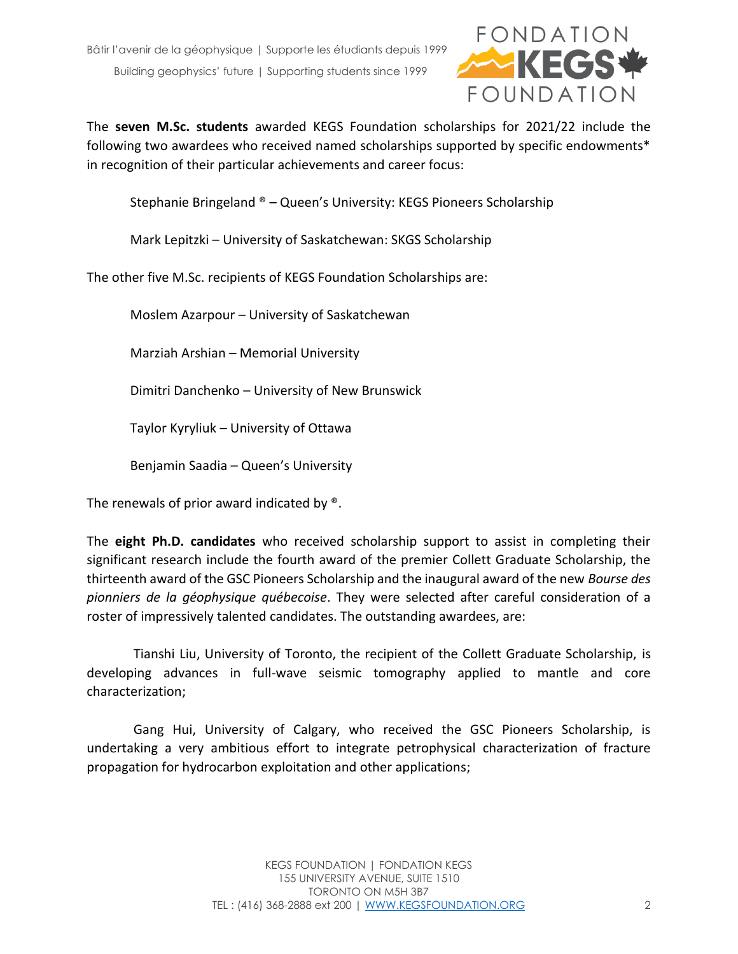

The **seven M.Sc. students** awarded KEGS Foundation scholarships for 2021/22 include the following two awardees who received named scholarships supported by specific endowments\* in recognition of their particular achievements and career focus:

Stephanie Bringeland ® – Queen's University: KEGS Pioneers Scholarship

Mark Lepitzki – University of Saskatchewan: SKGS Scholarship

The other five M.Sc. recipients of KEGS Foundation Scholarships are:

Moslem Azarpour – University of Saskatchewan

Marziah Arshian – Memorial University

Dimitri Danchenko – University of New Brunswick

Taylor Kyryliuk – University of Ottawa

Benjamin Saadia – Queen's University

The renewals of prior award indicated by  $^{\circledast}$ .

The **eight Ph.D. candidates** who received scholarship support to assist in completing their significant research include the fourth award of the premier Collett Graduate Scholarship, the thirteenth award of the GSC Pioneers Scholarship and the inaugural award of the new *Bourse des pionniers de la géophysique québecoise*. They were selected after careful consideration of a roster of impressively talented candidates. The outstanding awardees, are:

Tianshi Liu, University of Toronto, the recipient of the Collett Graduate Scholarship, is developing advances in full-wave seismic tomography applied to mantle and core characterization;

Gang Hui, University of Calgary, who received the GSC Pioneers Scholarship, is undertaking a very ambitious effort to integrate petrophysical characterization of fracture propagation for hydrocarbon exploitation and other applications;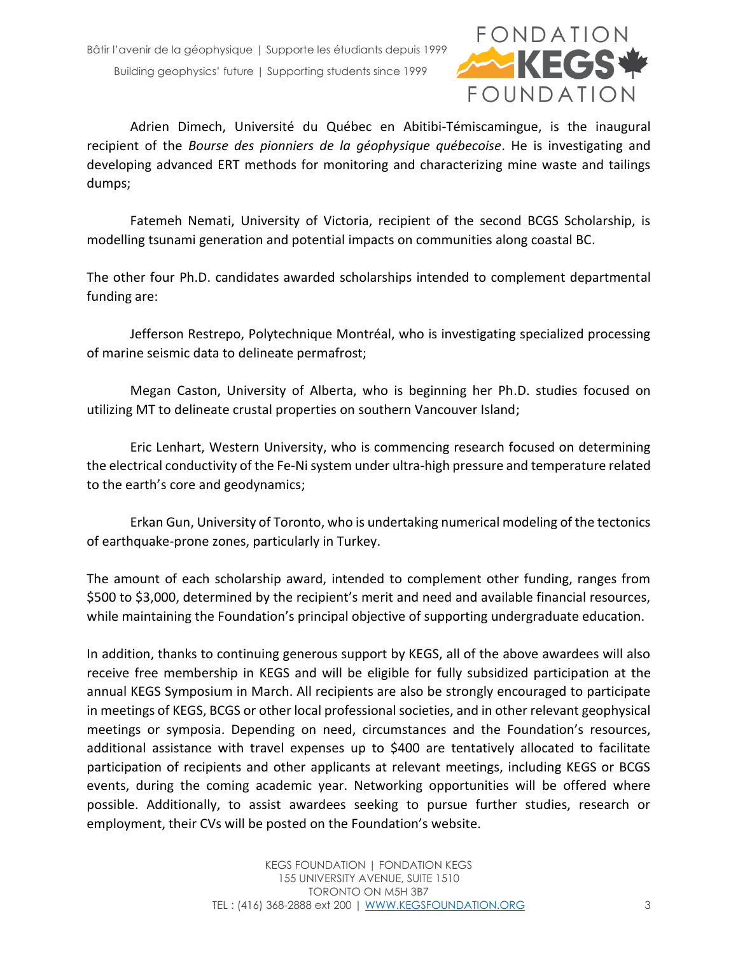

Adrien Dimech, Université du Québec en Abitibi-Témiscamingue, is the inaugural recipient of the *Bourse des pionniers de la géophysique québecoise*. He is investigating and developing advanced ERT methods for monitoring and characterizing mine waste and tailings dumps;

Fatemeh Nemati, University of Victoria, recipient of the second BCGS Scholarship, is modelling tsunami generation and potential impacts on communities along coastal BC.

The other four Ph.D. candidates awarded scholarships intended to complement departmental funding are:

Jefferson Restrepo, Polytechnique Montréal, who is investigating specialized processing of marine seismic data to delineate permafrost;

Megan Caston, University of Alberta, who is beginning her Ph.D. studies focused on utilizing MT to delineate crustal properties on southern Vancouver Island;

Eric Lenhart, Western University, who is commencing research focused on determining the electrical conductivity of the Fe-Ni system under ultra-high pressure and temperature related to the earth's core and geodynamics;

Erkan Gun, University of Toronto, who is undertaking numerical modeling of the tectonics of earthquake-prone zones, particularly in Turkey.

The amount of each scholarship award, intended to complement other funding, ranges from \$500 to \$3,000, determined by the recipient's merit and need and available financial resources, while maintaining the Foundation's principal objective of supporting undergraduate education.

In addition, thanks to continuing generous support by KEGS, all of the above awardees will also receive free membership in KEGS and will be eligible for fully subsidized participation at the annual KEGS Symposium in March. All recipients are also be strongly encouraged to participate in meetings of KEGS, BCGS or other local professional societies, and in other relevant geophysical meetings or symposia. Depending on need, circumstances and the Foundation's resources, additional assistance with travel expenses up to \$400 are tentatively allocated to facilitate participation of recipients and other applicants at relevant meetings, including KEGS or BCGS events, during the coming academic year. Networking opportunities will be offered where possible. Additionally, to assist awardees seeking to pursue further studies, research or employment, their CVs will be posted on the Foundation's website.